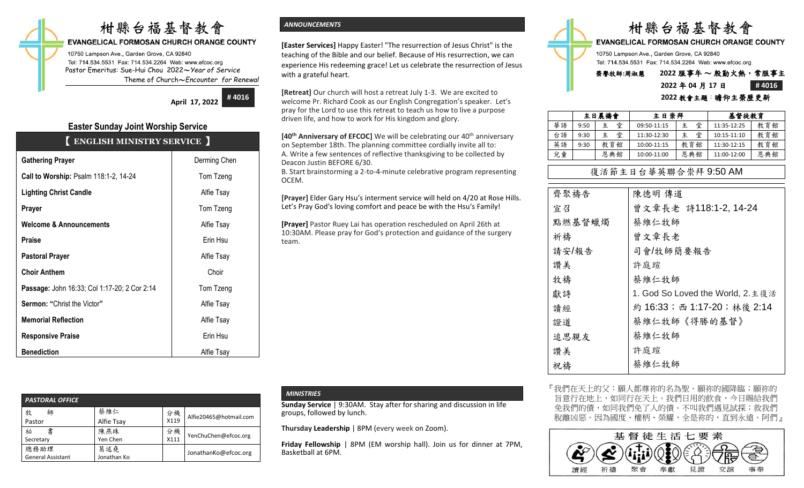# 柑縣台福基督教會

## **EVANGELICAL FORMOSAN CHURCH ORANGE COUNTY**

10750 Lampson Ave., Garden Grove, CA 92840 Tel: 714.534.5531 Fax: 714.534.2264 Web: www.efcoc.org Pastor Emeritus: Sue-Hui Chou 2022〜*Year of Service* Theme of Church〜*Encounter for Renewal*

**April 17, 2022**

**# 4016**

## **Easter Sunday Joint Worship Service** 【 **ENGLISH MINISTRY SERVICE** 】

| <b>Gathering Prayer</b>                      | Derming Chen |
|----------------------------------------------|--------------|
| Call to Worship: Psalm 118:1-2, 14-24        | Tom Tzeng    |
| <b>Lighting Christ Candle</b>                | Alfie Tsay   |
| Prayer                                       | Tom Tzeng    |
| <b>Welcome &amp; Announcements</b>           | Alfie Tsay   |
| <b>Praise</b>                                | Erin Hsu     |
| <b>Pastoral Prayer</b>                       | Alfie Tsay   |
| <b>Choir Anthem</b>                          | Choir        |
| Passage: John 16:33; Col 1:17-20; 2 Cor 2:14 | Tom Tzeng    |
| <b>Sermon: "Christ the Victor"</b>           | Alfie Tsay   |
| <b>Memorial Reflection</b>                   | Alfie Tsay   |
| <b>Responsive Praise</b>                     | Erin Hsu     |
| <b>Benediction</b>                           | Alfie Tsay   |

**[Easter Services]** Happy Easter! "The resurrection of Jesus Christ" is the teaching of the Bible and our belief. Because of His resurrection, we can experience His redeeming grace! Let us celebrate the resurrection of Jesus with a grateful heart.

**[Retreat]** Our church will host a retreat July 1-3. We are excited to welcome Pr. Richard Cook as our English Congregation's speaker. Let's pray for the Lord to use this retreat to teach us how to live a purpose driven life, and how to work for His kingdom and glory.

**[40<sup>th</sup> Anniversary of EFCOC]** We will be celebrating our 40<sup>th</sup> anniversary on September 18th. The planning committee cordially invite all to: A. Write a few sentences of reflective thanksgiving to be collected by Deacon Justin BEFORE 6/30.

B. Start brainstorming a 2-to-4-minute celebrative program representing OCEM.

**[Prayer]** Elder Gary Hsu's interment service will held on 4/20 at Rose Hills. Let's Pray God's loving comfort and peace be with the Hsu's Family!

**[Prayer]** Pastor Ruey Lai has operation rescheduled on April 26th at 10:30AM. Please pray for God's protection and guidance of the surgery team.



## **2022** 年 **04** 月 **17** 日 **# 4016 2022** 教會主題:瞻仰主榮歷更新

|    | 主日晨禱會 |        | 主日崇拜        |     | 基督徒教育       |     |
|----|-------|--------|-------------|-----|-------------|-----|
| 華語 | 9:50  | 堂<br>主 | 09:50-11:15 | 堂   | 11:35-12:25 | 教育館 |
| 台語 | 9:30  | 堂<br>主 | 11:30-12:30 | 堂   | 10:15-11:10 | 教育館 |
| 英語 | 9:30  | 教育館    | 10:00-11:15 | 教育館 | 11:30-12:15 | 教育館 |
| 兒童 |       | 恩典館    | 10:00-11:00 | 恩典館 | 11:00-12:00 | 恩典館 |

## 復活節主日台華英聯合崇拜 9:50 AM

| 齊聚禱告   | 陳德明 傳道                            |
|--------|-----------------------------------|
| 宣召     | 曾文章長老 詩118:1-2, 14-24             |
| 點燃基督蠟燭 | 蔡維仁牧師                             |
| 祈禱     | 曾文章長老                             |
| 請安/報告  | 司會/牧師簡要報告                         |
| 讚美     | 許庭瑄                               |
| 牧禱     | 蔡維仁牧師                             |
| 獻詩     | 1. God So Loved the World, 2. 主復活 |
| 讀經     | 約 16:33; 西 1:17-20; 林後 2:14       |
| 證道     | 蔡維仁牧師《得勝的基督》                      |
| 追思親友   | 蔡維仁牧師                             |
| 讚美     | 許庭瑄                               |
| 祝禱     | 蔡維仁牧師                             |
|        |                                   |

| <b>PASTORAL OFFICE</b>           |                    |            |                        |  |  |  |
|----------------------------------|--------------------|------------|------------------------|--|--|--|
| 牧<br>師<br>Pastor                 | 蔡維仁<br>Alfie Tsay  | 分機<br>X119 | Alfie20465@hotmail.com |  |  |  |
| 書<br>祕<br>Secretary              | 陳燕珠<br>Yen Chen    | 分機<br>X111 | YenChuChen@efcoc.org   |  |  |  |
| 總務助理<br><b>General Assistant</b> | 葛述堯<br>Jonathan Ko |            | JonathanKo@efcoc.org   |  |  |  |

## *MINISTRIES*

**Sunday Service** | 9:30AM. Stay after for sharing and discussion in life groups, followed by lunch.

**Thursday Leadership** | 8PM (every week on Zoom).

**Friday Fellowship** | 8PM (EM worship hall). Join us for dinner at 7PM, Basketball at 6PM.

『我們在天上的父:願人都尊祢的名為聖。願祢的國降臨;願祢的 旨意行在地上,如同行在天上。我們日用的飲食,今日賜給我們 免我們的債,如同我們免了人的債。不叫我們遇見試探;救我們 脫離凶惡。因為國度、權柄、榮耀,全是祢的,直到永遠。阿們』